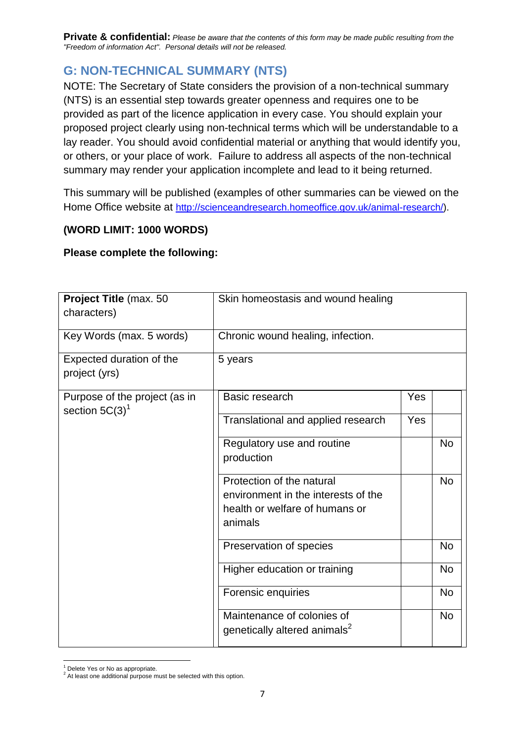**Private & confidential:** *Please be aware that the contents of this form may be made public resulting from the "Freedom of information Act". Personal details will not be released.*

## **G: NON-TECHNICAL SUMMARY (NTS)**

NOTE: The Secretary of State considers the provision of a non-technical summary (NTS) is an essential step towards greater openness and requires one to be provided as part of the licence application in every case. You should explain your proposed project clearly using non-technical terms which will be understandable to a lay reader. You should avoid confidential material or anything that would identify you, or others, or your place of work. Failure to address all aspects of the non-technical summary may render your application incomplete and lead to it being returned.

This summary will be published (examples of other summaries can be viewed on the Home Office website at [http://scienceandresearch.homeoffice.gov.uk/animal-research/\)](http://scienceandresearch.homeoffice.gov.uk/animal-research/).

## **(WORD LIMIT: 1000 WORDS)**

## **Please complete the following:**

| Project Title (max. 50                             | Skin homeostasis and wound healing                                                                            |            |           |
|----------------------------------------------------|---------------------------------------------------------------------------------------------------------------|------------|-----------|
| characters)                                        |                                                                                                               |            |           |
| Key Words (max. 5 words)                           | Chronic wound healing, infection.                                                                             |            |           |
| Expected duration of the<br>project (yrs)          | 5 years                                                                                                       |            |           |
| Purpose of the project (as in<br>section $5C(3)^1$ | Basic research                                                                                                | Yes        |           |
|                                                    | Translational and applied research                                                                            | <b>Yes</b> |           |
|                                                    | Regulatory use and routine<br>production                                                                      |            | <b>No</b> |
|                                                    | Protection of the natural<br>environment in the interests of the<br>health or welfare of humans or<br>animals |            | <b>No</b> |
|                                                    | Preservation of species                                                                                       |            | <b>No</b> |
|                                                    | Higher education or training                                                                                  |            | <b>No</b> |
|                                                    | Forensic enquiries                                                                                            |            | <b>No</b> |
|                                                    | Maintenance of colonies of<br>genetically altered animals <sup>2</sup>                                        |            | <b>No</b> |

 $\overline{a}$ <sup>1</sup> Delete Yes or No as appropriate.

 $2$  At least one additional purpose must be selected with this option.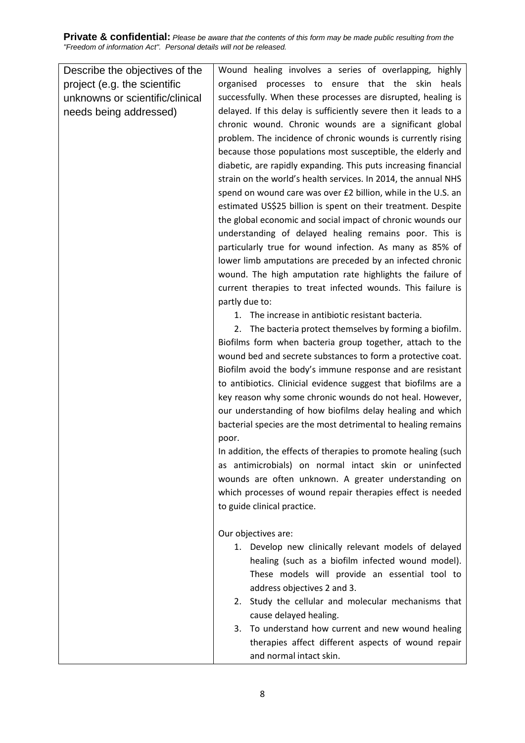**Private & confidential:** *Please be aware that the contents of this form may be made public resulting from the "Freedom of information Act". Personal details will not be released.*

| Describe the objectives of the  | Wound healing involves a series of overlapping, highly           |
|---------------------------------|------------------------------------------------------------------|
| project (e.g. the scientific    | organised processes to ensure that the skin<br>heals             |
| unknowns or scientific/clinical | successfully. When these processes are disrupted, healing is     |
| needs being addressed)          | delayed. If this delay is sufficiently severe then it leads to a |
|                                 | chronic wound. Chronic wounds are a significant global           |
|                                 | problem. The incidence of chronic wounds is currently rising     |
|                                 | because those populations most susceptible, the elderly and      |
|                                 | diabetic, are rapidly expanding. This puts increasing financial  |
|                                 | strain on the world's health services. In 2014, the annual NHS   |
|                                 | spend on wound care was over £2 billion, while in the U.S. an    |
|                                 | estimated US\$25 billion is spent on their treatment. Despite    |
|                                 | the global economic and social impact of chronic wounds our      |
|                                 | understanding of delayed healing remains poor. This is           |
|                                 | particularly true for wound infection. As many as 85% of         |
|                                 | lower limb amputations are preceded by an infected chronic       |
|                                 | wound. The high amputation rate highlights the failure of        |
|                                 | current therapies to treat infected wounds. This failure is      |
|                                 | partly due to:                                                   |
|                                 | 1. The increase in antibiotic resistant bacteria.                |
|                                 | The bacteria protect themselves by forming a biofilm.<br>2.      |
|                                 | Biofilms form when bacteria group together, attach to the        |
|                                 | wound bed and secrete substances to form a protective coat.      |
|                                 | Biofilm avoid the body's immune response and are resistant       |
|                                 | to antibiotics. Clinicial evidence suggest that biofilms are a   |
|                                 | key reason why some chronic wounds do not heal. However,         |
|                                 | our understanding of how biofilms delay healing and which        |
|                                 | bacterial species are the most detrimental to healing remains    |
|                                 | poor.                                                            |
|                                 | In addition, the effects of therapies to promote healing (such   |
|                                 | as antimicrobials) on normal intact skin or uninfected           |
|                                 | wounds are often unknown. A greater understanding on             |
|                                 | which processes of wound repair therapies effect is needed       |
|                                 | to guide clinical practice.                                      |
|                                 |                                                                  |
|                                 | Our objectives are:                                              |
|                                 | 1. Develop new clinically relevant models of delayed             |
|                                 | healing (such as a biofilm infected wound model).                |
|                                 | These models will provide an essential tool to                   |
|                                 | address objectives 2 and 3.                                      |
|                                 | 2. Study the cellular and molecular mechanisms that              |
|                                 | cause delayed healing.                                           |
|                                 | To understand how current and new wound healing<br>3.            |
|                                 | therapies affect different aspects of wound repair               |
|                                 | and normal intact skin.                                          |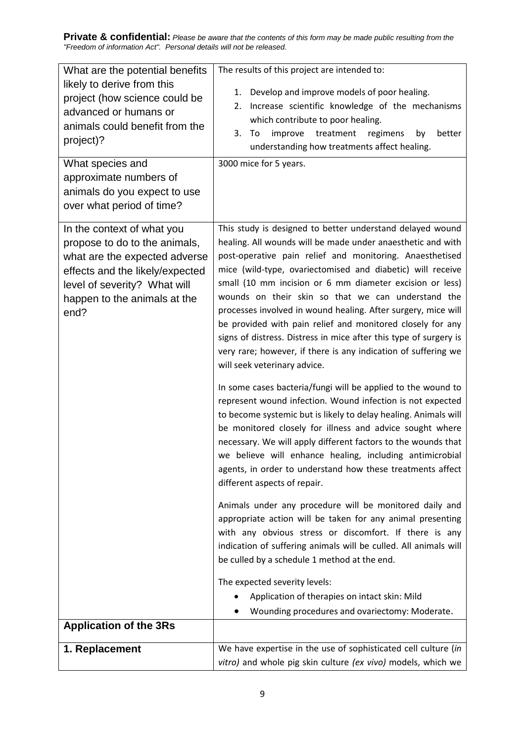**Private & confidential:** *Please be aware that the contents of this form may be made public resulting from the "Freedom of information Act". Personal details will not be released.* 

| What are the potential benefits<br>likely to derive from this<br>project (how science could be<br>advanced or humans or<br>animals could benefit from the<br>project)?<br>What species and<br>approximate numbers of<br>animals do you expect to use<br>over what period of time? | The results of this project are intended to:<br>Develop and improve models of poor healing.<br>1.<br>Increase scientific knowledge of the mechanisms<br>2.<br>which contribute to poor healing.<br>3.<br>improve<br>treatment<br>better<br>To<br>regimens<br>by<br>understanding how treatments affect healing.<br>3000 mice for 5 years.                                                                                                                                                                                                                                                                                                                                                                                                                                                                                                                                                                                                                                                                                                                                                                                                                                                                                                                                                                                                                                                                                                                                                                                                                                                                                  |  |
|-----------------------------------------------------------------------------------------------------------------------------------------------------------------------------------------------------------------------------------------------------------------------------------|----------------------------------------------------------------------------------------------------------------------------------------------------------------------------------------------------------------------------------------------------------------------------------------------------------------------------------------------------------------------------------------------------------------------------------------------------------------------------------------------------------------------------------------------------------------------------------------------------------------------------------------------------------------------------------------------------------------------------------------------------------------------------------------------------------------------------------------------------------------------------------------------------------------------------------------------------------------------------------------------------------------------------------------------------------------------------------------------------------------------------------------------------------------------------------------------------------------------------------------------------------------------------------------------------------------------------------------------------------------------------------------------------------------------------------------------------------------------------------------------------------------------------------------------------------------------------------------------------------------------------|--|
| In the context of what you<br>propose to do to the animals,<br>what are the expected adverse<br>effects and the likely/expected<br>level of severity? What will<br>happen to the animals at the<br>end?                                                                           | This study is designed to better understand delayed wound<br>healing. All wounds will be made under anaesthetic and with<br>post-operative pain relief and monitoring. Anaesthetised<br>mice (wild-type, ovariectomised and diabetic) will receive<br>small (10 mm incision or 6 mm diameter excision or less)<br>wounds on their skin so that we can understand the<br>processes involved in wound healing. After surgery, mice will<br>be provided with pain relief and monitored closely for any<br>signs of distress. Distress in mice after this type of surgery is<br>very rare; however, if there is any indication of suffering we<br>will seek veterinary advice.<br>In some cases bacteria/fungi will be applied to the wound to<br>represent wound infection. Wound infection is not expected<br>to become systemic but is likely to delay healing. Animals will<br>be monitored closely for illness and advice sought where<br>necessary. We will apply different factors to the wounds that<br>we believe will enhance healing, including antimicrobial<br>agents, in order to understand how these treatments affect<br>different aspects of repair.<br>Animals under any procedure will be monitored daily and<br>appropriate action will be taken for any animal presenting<br>with any obvious stress or discomfort. If there is any<br>indication of suffering animals will be culled. All animals will<br>be culled by a schedule 1 method at the end.<br>The expected severity levels:<br>Application of therapies on intact skin: Mild<br>Wounding procedures and ovariectomy: Moderate.<br>$\bullet$ |  |
| <b>Application of the 3Rs</b>                                                                                                                                                                                                                                                     |                                                                                                                                                                                                                                                                                                                                                                                                                                                                                                                                                                                                                                                                                                                                                                                                                                                                                                                                                                                                                                                                                                                                                                                                                                                                                                                                                                                                                                                                                                                                                                                                                            |  |
| 1. Replacement                                                                                                                                                                                                                                                                    | We have expertise in the use of sophisticated cell culture (in<br>vitro) and whole pig skin culture (ex vivo) models, which we                                                                                                                                                                                                                                                                                                                                                                                                                                                                                                                                                                                                                                                                                                                                                                                                                                                                                                                                                                                                                                                                                                                                                                                                                                                                                                                                                                                                                                                                                             |  |